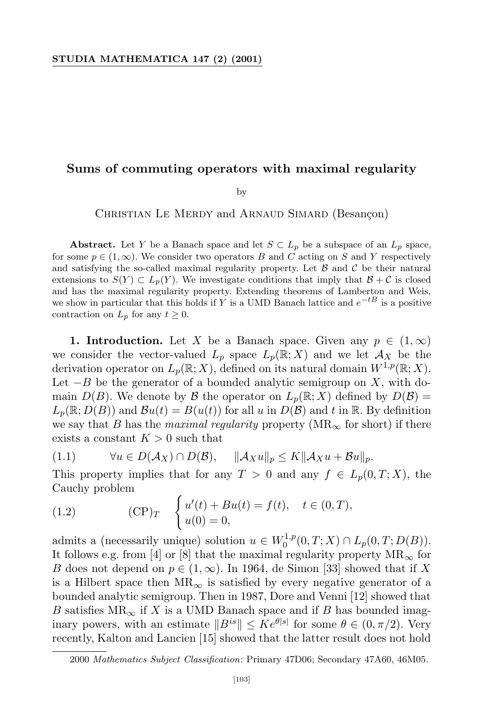## **Sums of commuting operators with maximal regularity**

by

CHRISTIAN LE MERDY and ARNAUD SIMARD (Besançon)

**Abstract.** Let *Y* be a Banach space and let  $S \subset L_p$  be a subspace of an  $L_p$  space, for some  $p \in (1, \infty)$ . We consider two operators *B* and *C* acting on *S* and *Y* respectively and satisfying the so-called maximal regularity property. Let  $\beta$  and  $\beta$  be their natural extensions to  $S(Y) \subset L_p(Y)$ . We investigate conditions that imply that  $B + C$  is closed and has the maximal regularity property. Extending theorems of Lamberton and Weis, we show in particular that this holds if *Y* is a UMD Banach lattice and *e <sup>−</sup>tB* is a positive contraction on  $L_p$  for any  $t \geq 0$ .

**1. Introduction.** Let *X* be a Banach space. Given any  $p \in (1, \infty)$ we consider the vector-valued  $L_p$  space  $L_p(\mathbb{R}; X)$  and we let  $\mathcal{A}_X$  be the derivation operator on  $L_p(\mathbb{R}; X)$ , defined on its natural domain  $W^{1,p}(\mathbb{R}; X)$ . Let *−B* be the generator of a bounded analytic semigroup on *X*, with domain  $D(B)$ . We denote by *B* the operator on  $L_p(\mathbb{R}; X)$  defined by  $D(B)$  =  $L_p(\mathbb{R}; D(B))$  and  $\mathcal{B}u(t) = B(u(t))$  for all *u* in  $D(\mathcal{B})$  and *t* in R. By definition we say that *B* has the *maximal regularity* property ( $MR_{\infty}$  for short) if there exists a constant  $K > 0$  such that

$$
(1.1) \qquad \forall u \in D(\mathcal{A}_X) \cap D(\mathcal{B}), \quad \|\mathcal{A}_X u\|_p \le K \|\mathcal{A}_X u + \mathcal{B} u\|_p.
$$

This property implies that for any  $T > 0$  and any  $f \in L_p(0,T; X)$ , the Cauchy problem

(1.2) 
$$
\text{(CP)}_T \quad \begin{cases} u'(t) + Bu(t) = f(t), & t \in (0, T), \\ u(0) = 0, & \end{cases}
$$

admits a (necessarily unique) solution  $u \in W_0^{1,p}$  $L_p^{1,p}(0,T;X) \cap L_p(0,T;D(B)).$ It follows e.g. from [4] or [8] that the maximal regularity property  $MR_{\infty}$  for *B* does not depend on  $p \in (1, \infty)$ . In 1964, de Simon [33] showed that if X is a Hilbert space then  $MR_{\infty}$  is satisfied by every negative generator of a bounded analytic semigroup. Then in 1987, Dore and Venni [12] showed that *B* satisfies  $MR_\infty$  if *X* is a UMD Banach space and if *B* has bounded imaginary powers, with an estimate  $||B^{is}|| \leq Ke^{\theta|s|}$  for some  $\theta \in (0, \pi/2)$ . Very recently, Kalton and Lancien [15] showed that the latter result does not hold

<sup>2000</sup> *Mathematics Subject Classification*: Primary 47D06; Secondary 47A60, 46M05.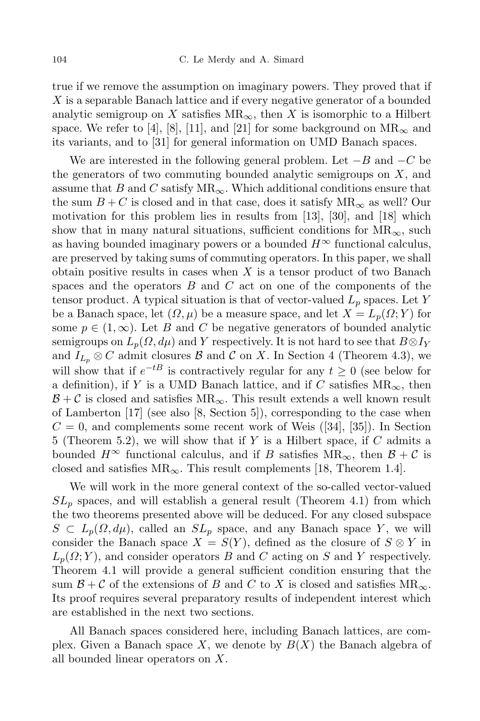true if we remove the assumption on imaginary powers. They proved that if *X* is a separable Banach lattice and if every negative generator of a bounded analytic semigroup on *X* satisfies  $MR_{\infty}$ , then *X* is isomorphic to a Hilbert space. We refer to [4], [8], [11], and [21] for some background on  $MR_{\infty}$  and its variants, and to [31] for general information on UMD Banach spaces.

We are interested in the following general problem. Let *−B* and *−C* be the generators of two commuting bounded analytic semigroups on *X*, and assume that *B* and *C* satisfy MR*∞*. Which additional conditions ensure that the sum  $B+C$  is closed and in that case, does it satisfy  $MR_{\infty}$  as well? Our motivation for this problem lies in results from [13], [30], and [18] which show that in many natural situations, sufficient conditions for  $MR_{\infty}$ , such as having bounded imaginary powers or a bounded  $H^{\infty}$  functional calculus, are preserved by taking sums of commuting operators. In this paper, we shall obtain positive results in cases when *X* is a tensor product of two Banach spaces and the operators *B* and *C* act on one of the components of the tensor product. A typical situation is that of vector-valued *L<sup>p</sup>* spaces. Let *Y* be a Banach space, let  $(\Omega, \mu)$  be a measure space, and let  $X = L_p(\Omega; Y)$  for some  $p \in (1, \infty)$ . Let *B* and *C* be negative generators of bounded analytic semigroups on  $L_p(\Omega, d\mu)$  and *Y* respectively. It is not hard to see that  $B \otimes I_Y$ and  $I_{L_p} \otimes C$  admit closures  $\beta$  and  $C$  on X. In Section 4 (Theorem 4.3), we will show that if  $e^{-tB}$  is contractively regular for any  $t \geq 0$  (see below for a definition), if *Y* is a UMD Banach lattice, and if *C* satisfies  $MR_{\infty}$ , then  $B + C$  is closed and satisfies  $MR_{\infty}$ . This result extends a well known result of Lamberton [17] (see also [8, Section 5]), corresponding to the case when  $C = 0$ , and complements some recent work of Weis  $([34], [35])$ . In Section 5 (Theorem 5.2), we will show that if *Y* is a Hilbert space, if *C* admits a bounded  $H^{\infty}$  functional calculus, and if *B* satisfies  $MR_{\infty}$ , then  $B + C$  is closed and satisfies  $MR_{\infty}$ . This result complements [18, Theorem 1.4].

We will work in the more general context of the so-called vector-valued  $SL_p$  spaces, and will establish a general result (Theorem 4.1) from which the two theorems presented above will be deduced. For any closed subspace  $S \subset L_p(\Omega, d\mu)$ , called an  $SL_p$  space, and any Banach space *Y*, we will consider the Banach space  $X = S(Y)$ , defined as the closure of  $S \otimes Y$  in  $L_p(\Omega; Y)$ , and consider operators *B* and *C* acting on *S* and *Y* respectively. Theorem 4.1 will provide a general sufficient condition ensuring that the sum  $\mathcal{B} + \mathcal{C}$  of the extensions of *B* and *C* to *X* is closed and satisfies  $MR_{\infty}$ . Its proof requires several preparatory results of independent interest which are established in the next two sections.

All Banach spaces considered here, including Banach lattices, are complex. Given a Banach space  $X$ , we denote by  $B(X)$  the Banach algebra of all bounded linear operators on *X*.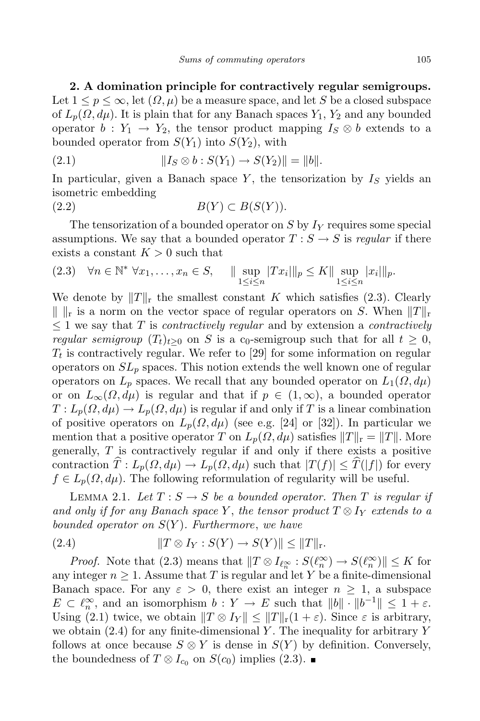**2. A domination principle for contractively regular semigroups.** Let  $1 \leq p \leq \infty$ , let  $(\Omega, \mu)$  be a measure space, and let S be a closed subspace of  $L_p(\Omega, d\mu)$ . It is plain that for any Banach spaces  $Y_1, Y_2$  and any bounded operator  $b: Y_1 \rightarrow Y_2$ , the tensor product mapping  $I_S \otimes b$  extends to a bounded operator from  $S(Y_1)$  into  $S(Y_2)$ , with

(2.1) 
$$
||I_S \otimes b : S(Y_1) \to S(Y_2)|| = ||b||.
$$

In particular, given a Banach space *Y* , the tensorization by *I<sup>S</sup>* yields an isometric embedding

$$
(2.2) \t\t B(Y) \subset B(S(Y)).
$$

The tensorization of a bounded operator on *S* by *I<sup>Y</sup>* requires some special assumptions. We say that a bounded operator  $T : S \rightarrow S$  is *regular* if there exists a constant  $K > 0$  such that

$$
(2.3) \quad \forall n \in \mathbb{N}^* \ \forall x_1, \dots, x_n \in S, \quad \parallel \sup_{1 \leq i \leq n} |Tx_i| \|_p \leq K \parallel \sup_{1 \leq i \leq n} |x_i| \|_p.
$$

We denote by  $||T||_r$  the smallest constant *K* which satisfies (2.3). Clearly  $\| \cdot \|_{r}$  is a norm on the vector space of regular operators on *S*. When  $\|T\|_{r}$ *≤* 1 we say that *T* is *contractively regular* and by extension a *contractively regular semigroup*  $(T_t)_{t>0}$  on *S* is a c<sub>0</sub>-semigroup such that for all  $t \geq 0$ ,  $T_t$  is contractively regular. We refer to [29] for some information on regular operators on  $SL_p$  spaces. This notion extends the well known one of regular operators on  $L_p$  spaces. We recall that any bounded operator on  $L_1(\Omega, d\mu)$ or on  $L_{\infty}(\Omega, d\mu)$  is regular and that if  $p \in (1, \infty)$ , a bounded operator  $T: L_p(\Omega, d\mu) \to L_p(\Omega, d\mu)$  is regular if and only if *T* is a linear combination of positive operators on  $L_p(\Omega, d\mu)$  (see e.g. [24] or [32]). In particular we mention that a positive operator *T* on  $L_p(\Omega, d\mu)$  satisfies  $||T||_r = ||T||$ . More generally, *T* is contractively regular if and only if there exists a positive contraction  $\hat{T}: L_p(\Omega, d\mu) \to L_p(\Omega, d\mu)$  such that  $|T(f)| \leq \hat{T}(|f|)$  for every  $f \in L_p(\Omega, d\mu)$ . The following reformulation of regularity will be useful.

LEMMA 2.1. Let  $T : S \to S$  be a bounded operator. Then  $T$  is regular if  $\alpha$  *and only if for any Banach space Y*, *the tensor product*  $T \otimes I_Y$  *extends to*  $a$ *bounded operator on S*(*Y* )*. Furthermore*, *we have*

(2.4) 
$$
||T \otimes I_Y : S(Y) \to S(Y)|| \le ||T||_{r}.
$$

*Proof.* Note that  $(2.3)$  means that  $||T \otimes I_{\ell_n^{\infty}} : S(\ell_n^{\infty}) \to S(\ell_n^{\infty})|| \leq K$  for any integer  $n \geq 1$ . Assume that *T* is regular and let *Y* be a finite-dimensional Banach space. For any  $\varepsilon > 0$ , there exist an integer  $n \geq 1$ , a subspace  $E \subset \ell_n^{\infty}$ , and an isomorphism  $b: Y \to E$  such that  $||b|| \cdot ||b^{-1}|| \leq 1 + \varepsilon$ . Using (2.1) twice, we obtain  $||T \otimes I_Y|| \le ||T||_r(1+\varepsilon)$ . Since  $\varepsilon$  is arbitrary, we obtain (2.4) for any finite-dimensional *Y* . The inequality for arbitrary *Y* follows at once because  $S \otimes Y$  is dense in  $S(Y)$  by definition. Conversely, the boundedness of *T* ⊗ *I*<sub>*c*0</sub> on *S*(*c*<sub>0</sub>) implies (2.3). ■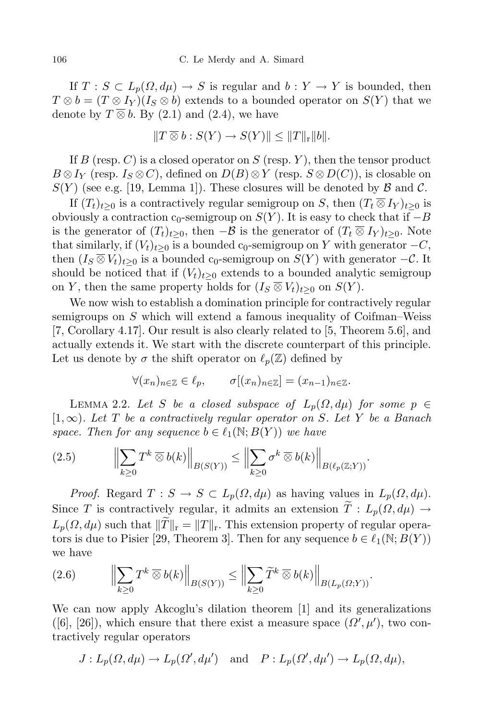If  $T : S \subset L_p(\Omega, d\mu) \to S$  is regular and  $b : Y \to Y$  is bounded, then  $T \otimes b = (T \otimes I_Y)(I_S \otimes b)$  extends to a bounded operator on  $S(Y)$  that we denote by  $T \overline{\otimes} b$ . By (2.1) and (2.4), we have

$$
||T \overline{\otimes} b : S(Y) \to S(Y)|| \leq ||T||_{r} ||b||.
$$

If *B* (resp. *C*) is a closed operator on *S* (resp. *Y* ), then the tensor product  $B \otimes I_Y$  (resp.  $I_S \otimes C$ ), defined on  $D(B) \otimes Y$  (resp.  $S \otimes D(C)$ ), is closable on  $S(Y)$  (see e.g. [19, Lemma 1]). These closures will be denoted by  $\beta$  and  $\beta$ .

If  $(T_t)_{t>0}$  is a contractively regular semigroup on *S*, then  $(T_t \overline{\otimes} I_Y)_{t>0}$  is obviously a contraction  $c_0$ -semigroup on  $S(Y)$ . It is easy to check that if  $-B$ is the generator of  $(T_t)_{t>0}$ , then  $-\beta$  is the generator of  $(T_t \otimes I_Y)_{t>0}$ . Note that similarly, if  $(V_t)_{t>0}$  is a bounded c<sub>0</sub>-semigroup on *Y* with generator  $-C$ , then  $(I_S \overline{\otimes} V_t)_{t>0}$  is a bounded c<sub>0</sub>-semigroup on  $S(Y)$  with generator  $-\mathcal{C}$ . It should be noticed that if  $(V_t)_{t>0}$  extends to a bounded analytic semigroup on *Y*, then the same property holds for  $(I_S \otimes V_t)_{t \geq 0}$  on  $S(Y)$ .

We now wish to establish a domination principle for contractively regular semigroups on *S* which will extend a famous inequality of Coifman–Weiss [7, Corollary 4.17]. Our result is also clearly related to [5, Theorem 5.6], and actually extends it. We start with the discrete counterpart of this principle. Let us denote by  $\sigma$  the shift operator on  $\ell_p(\mathbb{Z})$  defined by

$$
\forall (x_n)_{n \in \mathbb{Z}} \in \ell_p, \qquad \sigma[(x_n)_{n \in \mathbb{Z}}] = (x_{n-1})_{n \in \mathbb{Z}}.
$$

LEMMA 2.2. Let *S* be a closed subspace of  $L_p(\Omega, d\mu)$  for some  $p \in$ [1*,∞*)*. Let T be a contractively regular operator on S. Let Y be a Banach space. Then for any sequence*  $b \in \ell_1(\mathbb{N}; B(Y))$  *we have* 

$$
(2.5) \qquad \left\| \sum_{k\geq 0} T^k \,\overline{\otimes}\, b(k) \right\|_{B(S(Y))} \leq \left\| \sum_{k\geq 0} \sigma^k \,\overline{\otimes}\, b(k) \right\|_{B(\ell_p(\mathbb{Z};Y))}.
$$

*Proof.* Regard  $T: S \to S \subset L_p(\Omega, d\mu)$  as having values in  $L_p(\Omega, d\mu)$ . Since *T* is contractively regular, it admits an extension  $\widetilde{T}: L_p(\Omega, d\mu) \rightarrow$  $L_p(\Omega, d\mu)$  such that  $\|\widetilde{T}\|_{\mathbf{r}} = \|T\|_{\mathbf{r}}$ . This extension property of regular operators is due to Pisier [29, Theorem 3]. Then for any sequence  $b \in \ell_1(\mathbb{N}; B(Y))$ we have

$$
(2.6) \qquad \Big\|\sum_{k\geq 0} T^k \,\overline{\otimes}\, b(k)\Big\|_{B(S(Y))} \leq \Big\|\sum_{k\geq 0} \widetilde{T}^k \,\overline{\otimes}\, b(k)\Big\|_{B(L_p(\Omega;Y))}.
$$

We can now apply Akcoglu's dilation theorem [1] and its generalizations ([6], [26]), which ensure that there exist a measure space  $(\Omega', \mu')$ , two contractively regular operators

$$
J: L_p(\Omega, d\mu) \to L_p(\Omega', d\mu')
$$
 and  $P: L_p(\Omega', d\mu') \to L_p(\Omega, d\mu)$ ,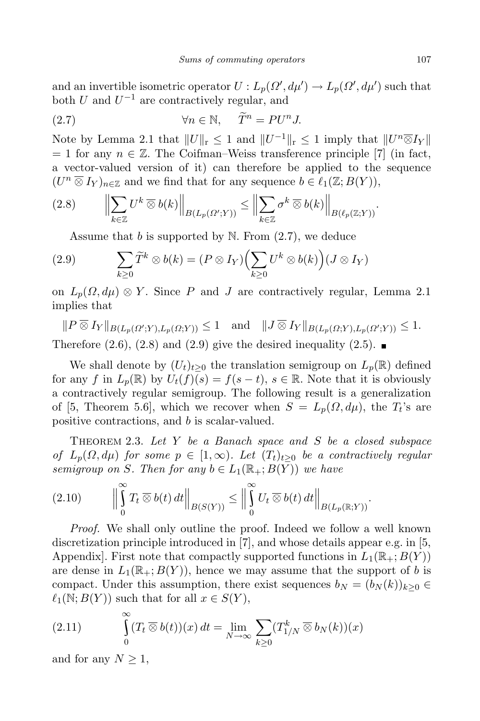and an invertible isometric operator  $U: L_p(\Omega', d\mu') \to L_p(\Omega', d\mu')$  such that both *U* and *U <sup>−</sup>*<sup>1</sup> are contractively regular, and

(2.7) 
$$
\forall n \in \mathbb{N}, \quad \widetilde{T}^n = PU^n J.
$$

Note by Lemma 2.1 that  $||U||_r \leq 1$  and  $||U^{-1}||_r \leq 1$  imply that  $||U^n \overline{\otimes} I_Y||$  $= 1$  for any  $n \in \mathbb{Z}$ . The Coifman–Weiss transference principle [7] (in fact, a vector-valued version of it) can therefore be applied to the sequence  $(U^n \overline{\otimes} I_Y)_{n \in \mathbb{Z}}$  and we find that for any sequence  $b \in \ell_1(\mathbb{Z}; B(Y)),$ 

$$
(2.8) \qquad \Big\|\sum_{k\in\mathbb{Z}} U^k \,\overline{\otimes}\, b(k)\Big\|_{B(L_p(\Omega';Y))} \le \Big\|\sum_{k\in\mathbb{Z}} \sigma^k \,\overline{\otimes}\, b(k)\Big\|_{B(\ell_p(\mathbb{Z};Y))}.
$$

Assume that *b* is supported by N. From (2.7), we deduce

(2.9) 
$$
\sum_{k\geq 0} \widetilde{T}^k \otimes b(k) = (P \otimes I_Y) \Bigl(\sum_{k\geq 0} U^k \otimes b(k)\Bigr) (J \otimes I_Y)
$$

on  $L_p(\Omega, d\mu) \otimes Y$ . Since P and J are contractively regular, Lemma 2.1 implies that

$$
||P \overline{\otimes} I_Y||_{B(L_p(\Omega';Y),L_p(\Omega;Y))} \le 1 \quad \text{and} \quad ||J \overline{\otimes} I_Y||_{B(L_p(\Omega;Y),L_p(\Omega';Y))} \le 1.
$$

Therefore  $(2.6)$ ,  $(2.8)$  and  $(2.9)$  give the desired inequality  $(2.5)$ .

We shall denote by  $(U_t)_{t>0}$  the translation semigroup on  $L_p(\mathbb{R})$  defined for any *f* in  $L_p(\mathbb{R})$  by  $U_t(f)(s) = f(s-t)$ ,  $s \in \mathbb{R}$ . Note that it is obviously a contractively regular semigroup. The following result is a generalization of [5, Theorem 5.6], which we recover when  $S = L_p(\Omega, d\mu)$ , the  $T_t$ 's are positive contractions, and *b* is scalar-valued.

Theorem 2.3. *Let Y be a Banach space and S be a closed subspace of*  $L_p(\Omega, d\mu)$  *for some*  $p \in [1, \infty)$ *. Let*  $(T_t)_{t>0}$  *be a contractively regular semigroup on S. Then for any*  $b \in L_1(\mathbb{R}_+; B(\overline{Y}))$  *we have* 

$$
(2.10) \qquad \Big\|\int_{0}^{\infty} T_t \,\overline{\otimes}\, b(t) \, dt \Big\|_{B(S(Y))} \le \Big\|\int_{0}^{\infty} U_t \,\overline{\otimes}\, b(t) \, dt \Big\|_{B(L_p(\mathbb{R};Y))}.
$$

*Proof.* We shall only outline the proof. Indeed we follow a well known discretization principle introduced in [7], and whose details appear e.g. in [5, Appendix]. First note that compactly supported functions in  $L_1(\mathbb{R}_+; B(Y))$ are dense in  $L_1(\mathbb{R}_+; B(Y))$ , hence we may assume that the support of *b* is compact. Under this assumption, there exist sequences  $b_N = (b_N(k))_{k>0}$  $\ell_1(\mathbb{N}; B(Y))$  such that for all  $x \in S(Y)$ ,

(2.11) 
$$
\int_{0}^{\infty} (T_t \overline{\otimes} b(t))(x) dt = \lim_{N \to \infty} \sum_{k \ge 0} (T_{1/N}^{k} \overline{\otimes} b_N(k))(x)
$$

and for any  $N \geq 1$ ,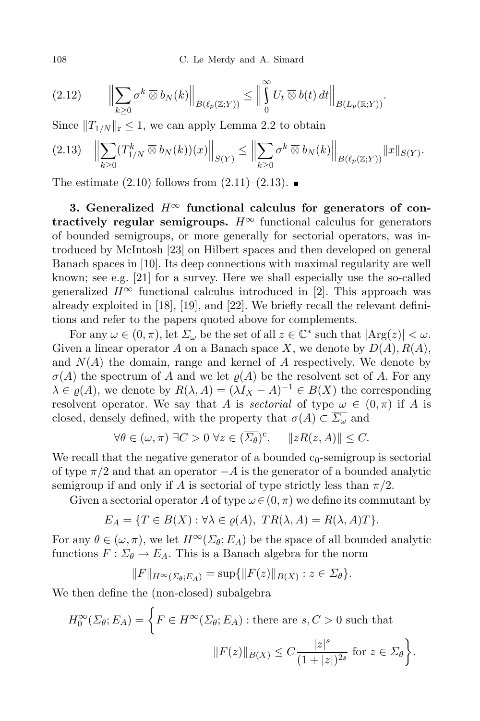108 C. Le Merdy and A. Simard

$$
(2.12) \qquad \Big\|\sum_{k\geq 0} \sigma^k \,\overline{\otimes}\, b_N(k)\Big\|_{B(\ell_p(\mathbb{Z};Y))} \leq \Big\|\int_0^\infty U_t \,\overline{\otimes}\, b(t)\,dt\Big\|_{B(L_p(\mathbb{R};Y))}.
$$

Since  $||T_{1/N}||_{r} \leq 1$ , we can apply Lemma 2.2 to obtain

$$
(2.13) \quad \left\| \sum_{k\geq 0} (T_{1/N}^k \,\overline{\otimes}\, b_N(k))(x) \right\|_{S(Y)} \leq \left\| \sum_{k\geq 0} \sigma^k \,\overline{\otimes}\, b_N(k) \right\|_{B(\ell_p(\mathbb{Z};Y))} \|x\|_{S(Y)}.
$$

The estimate  $(2.10)$  follows from  $(2.11)$ – $(2.13)$ .

**3.** Generalized  $H^{\infty}$  functional calculus for generators of con**tractively regular semigroups.**  $H^{\infty}$  functional calculus for generators of bounded semigroups, or more generally for sectorial operators, was introduced by McIntosh [23] on Hilbert spaces and then developed on general Banach spaces in [10]. Its deep connections with maximal regularity are well known; see e.g. [21] for a survey. Here we shall especially use the so-called generalized  $H^{\infty}$  functional calculus introduced in [2]. This approach was already exploited in [18], [19], and [22]. We briefly recall the relevant definitions and refer to the papers quoted above for complements.

For any  $\omega \in (0, \pi)$ , let  $\Sigma_{\omega}$  be the set of all  $z \in \mathbb{C}^*$  such that  $|\text{Arg}(z)| < \omega$ . Given a linear operator *A* on a Banach space *X*, we denote by  $D(A)$ ,  $R(A)$ , and  $N(A)$  the domain, range and kernel of  $A$  respectively. We denote by  $\sigma(A)$  the spectrum of *A* and we let  $\rho(A)$  be the resolvent set of *A*. For any  $\lambda \in \varrho(A)$ , we denote by  $R(\lambda, A) = (\lambda I_X - A)^{-1} \in B(X)$  the corresponding resolvent operator. We say that *A* is *sectorial* of type  $\omega \in (0, \pi)$  if *A* is closed, densely defined, with the property that  $\sigma(A) \subset \overline{\Sigma_{\omega}}$  and

$$
\forall \theta \in (\omega, \pi) \; \exists C > 0 \; \forall z \in (\overline{\Sigma_{\theta}})^c, \quad \|zR(z, A)\| \le C.
$$

We recall that the negative generator of a bounded  $c_0$ -semigroup is sectorial of type *π/*2 and that an operator *−A* is the generator of a bounded analytic semigroup if and only if *A* is sectorial of type strictly less than  $\pi/2$ .

Given a sectorial operator *A* of type  $\omega \in (0, \pi)$  we define its commutant by

$$
E_A = \{ T \in B(X) : \forall \lambda \in \varrho(A), \ TR(\lambda, A) = R(\lambda, A)T \}.
$$

For any  $\theta \in (\omega, \pi)$ , we let  $H^\infty(\Sigma_\theta; E_A)$  be the space of all bounded analytic functions  $F: \Sigma_{\theta} \to E_A$ . This is a Banach algebra for the norm

$$
||F||_{H^{\infty}(\Sigma_{\theta};E_A)} = \sup \{ ||F(z)||_{B(X)} : z \in \Sigma_{\theta} \}.
$$

We then define the (non-closed) subalgebra

$$
H_0^{\infty}(\Sigma_{\theta}; E_A) = \left\{ F \in H^{\infty}(\Sigma_{\theta}; E_A) : \text{there are } s, C > 0 \text{ such that}
$$

$$
||F(z)||_{B(X)} \le C \frac{|z|^s}{(1+|z|)^{2s}} \text{ for } z \in \Sigma_{\theta} \right\}.
$$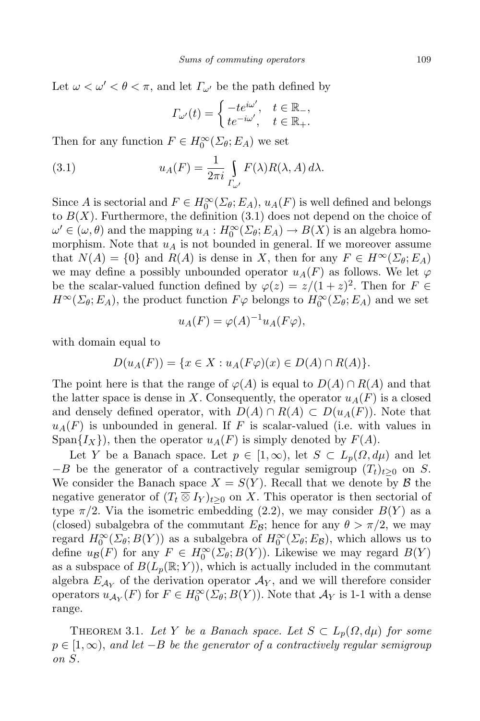Let  $\omega < \omega' < \theta < \pi$ , and let  $\Gamma_{\omega'}$  be the path defined by

$$
\Gamma_{\omega'}(t) = \begin{cases}\n-te^{i\omega'}, & t \in \mathbb{R}_-, \\
te^{-i\omega'}, & t \in \mathbb{R}_+.\n\end{cases}
$$

Then for any function  $F \in H_0^{\infty}(\Sigma_{\theta}; E_A)$  we set

(3.1) 
$$
u_A(F) = \frac{1}{2\pi i} \int\limits_{\Gamma_{\omega'}} F(\lambda) R(\lambda, A) d\lambda.
$$

Since *A* is sectorial and  $F \in H_0^{\infty}(\Sigma_{\theta}; E_A)$ ,  $u_A(F)$  is well defined and belongs to  $B(X)$ . Furthermore, the definition  $(3.1)$  does not depend on the choice of  $\omega' \in (\omega, \theta)$  and the mapping  $u_A : H_0^\infty(\Sigma_\theta; E_A) \to B(X)$  is an algebra homomorphism. Note that  $u_A$  is not bounded in general. If we moreover assume that  $N(A) = \{0\}$  and  $R(A)$  is dense in *X*, then for any  $F \in H^\infty(\Sigma_\theta; E_A)$ we may define a possibly unbounded operator  $u_A(F)$  as follows. We let  $\varphi$ be the scalar-valued function defined by  $\varphi(z) = z/(1+z)^2$ . Then for  $F \in$ *H*<sup>∞</sup>( $\Sigma$ *θ*; *E<sub>A</sub>*), the product function  $F\varphi$  belongs to  $H_0^{\infty}(\Sigma$ *θ*; *E<sub>A</sub>*) and we set

$$
u_A(F) = \varphi(A)^{-1} u_A(F\varphi),
$$

with domain equal to

$$
D(u_A(F)) = \{x \in X : u_A(F\varphi)(x) \in D(A) \cap R(A)\}.
$$

The point here is that the range of  $\varphi(A)$  is equal to  $D(A) \cap R(A)$  and that the latter space is dense in X. Consequently, the operator  $u_A(F)$  is a closed and densely defined operator, with  $D(A) \cap R(A) \subset D(u_A(F))$ . Note that  $u_A(F)$  is unbounded in general. If *F* is scalar-valued (i.e. with values in Span $\{I_X\}$ , then the operator  $u_A(F)$  is simply denoted by  $F(A)$ .

Let *Y* be a Banach space. Let  $p \in [1,\infty)$ , let  $S \subset L_p(\Omega,d\mu)$  and let *−B* be the generator of a contractively regular semigroup (*Tt*)*t≥*<sup>0</sup> on *S*. We consider the Banach space  $X = S(Y)$ . Recall that we denote by  $\beta$  the negative generator of  $(T_t \otimes I_Y)_{t>0}$  on *X*. This operator is then sectorial of type  $\pi/2$ . Via the isometric embedding (2.2), we may consider  $B(Y)$  as a (closed) subalgebra of the commutant  $E_B$ ; hence for any  $\theta > \pi/2$ , we may regard  $H_0^{\infty}(\Sigma_{\theta}; B(Y))$  as a subalgebra of  $H_0^{\infty}(\Sigma_{\theta}; E_{\mathcal{B}})$ , which allows us to define  $u_{\mathcal{B}}(F)$  for any  $F \in H_0^{\infty}(\Sigma_{\theta}; B(Y))$ . Likewise we may regard  $B(Y)$ as a subspace of  $B(L_p(\mathbb{R}; Y))$ , which is actually included in the commutant algebra  $E_{A_Y}$  of the derivation operator  $A_Y$ , and we will therefore consider operators  $u_{\mathcal{A}_Y}(F)$  for  $F \in H_0^{\infty}(\Sigma_{\theta}; B(Y))$ . Note that  $\mathcal{A}_Y$  is 1-1 with a dense range.

THEOREM 3.1. *Let Y be a Banach space. Let*  $S \subset L_p(\Omega, d\mu)$  *for some p ∈* [1*,∞*), *and let −B be the generator of a contractively regular semigroup on S.*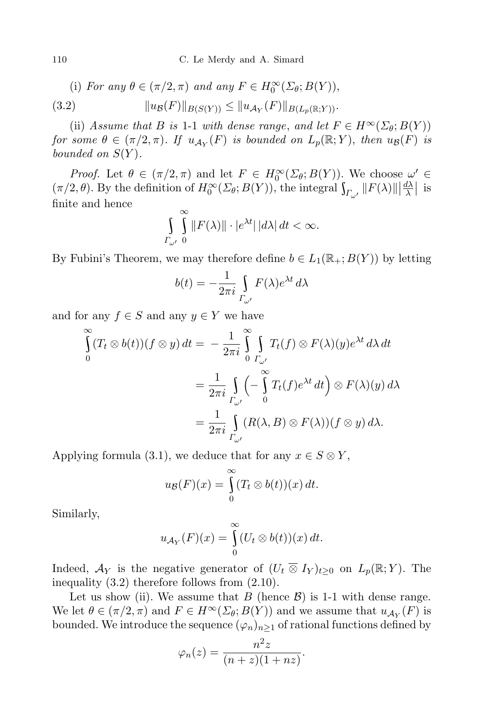(i) For any 
$$
\theta \in (\pi/2, \pi)
$$
 and any  $F \in H_0^{\infty}(\Sigma_{\theta}; B(Y)),$ 

(3.2) 
$$
||u_{\mathcal{B}}(F)||_{B(S(Y))} \leq ||u_{\mathcal{A}_Y}(F)||_{B(L_p(\mathbb{R};Y))}.
$$

(ii) *Assume that B is* 1-1 *with dense range, and let*  $F \in H^\infty(\Sigma_\theta; B(Y))$ for some  $\theta \in (\pi/2, \pi)$ . If  $u_{\mathcal{A}_Y}(F)$  is bounded on  $L_p(\mathbb{R}; Y)$ , then  $u_{\mathcal{B}}(F)$  is *bounded on*  $S(Y)$ *.* 

*Proof.* Let  $\theta \in (\pi/2, \pi)$  and let  $F \in H_0^\infty(\Sigma_\theta; B(Y))$ . We choose  $\omega' \in$  $(\pi/2, \theta)$ . By the definition of  $H_0^{\infty}(\Sigma_{\theta}; B(Y))$ , the integral  $\int_{\Gamma_{\omega'}} ||F(\lambda)|| \frac{d\lambda}{\lambda}$  $\frac{d\lambda}{\lambda}$  is finite and hence

$$
\int_{\Gamma_{\omega'}} \int_{0}^{\infty} ||F(\lambda)|| \cdot |e^{\lambda t}| \, |d\lambda| \, dt < \infty.
$$

By Fubini's Theorem, we may therefore define  $b \in L_1(\mathbb{R}_+; B(Y))$  by letting

$$
b(t) = -\frac{1}{2\pi i} \int\limits_{\Gamma_{\omega'}} F(\lambda) e^{\lambda t} d\lambda
$$

and for any  $f \in S$  and any  $y \in Y$  we have

$$
\int_{0}^{\infty} (T_t \otimes b(t))(f \otimes y) dt = -\frac{1}{2\pi i} \int_{0}^{\infty} \int_{\Gamma_{\omega'}} T_t(f) \otimes F(\lambda)(y) e^{\lambda t} d\lambda dt
$$

$$
= \frac{1}{2\pi i} \int_{\Gamma_{\omega'}} \left( -\int_{0}^{\infty} T_t(f) e^{\lambda t} dt \right) \otimes F(\lambda)(y) d\lambda
$$

$$
= \frac{1}{2\pi i} \int_{\Gamma_{\omega'}} (R(\lambda, B) \otimes F(\lambda))(f \otimes y) d\lambda.
$$

Applying formula (3.1), we deduce that for any  $x \in S \otimes Y$ ,

$$
u_{\mathcal{B}}(F)(x) = \int_{0}^{\infty} (T_t \otimes b(t))(x) dt.
$$

Similarly,

$$
u_{\mathcal{A}_Y}(F)(x) = \int_{0}^{\infty} (U_t \otimes b(t))(x) dt.
$$

Indeed,  $\mathcal{A}_Y$  is the negative generator of  $(U_t \overline{\otimes} I_Y)_{t>0}$  on  $L_p(\mathbb{R}; Y)$ . The inequality (3.2) therefore follows from (2.10).

Let us show (ii). We assume that *B* (hence  $\mathcal{B}$ ) is 1-1 with dense range. We let  $\theta \in (\pi/2, \pi)$  and  $F \in H^\infty(\Sigma_\theta; B(Y))$  and we assume that  $u_{\mathcal{A}_Y}(F)$  is bounded. We introduce the sequence  $(\varphi_n)_{n>1}$  of rational functions defined by

$$
\varphi_n(z) = \frac{n^2 z}{(n+z)(1+nz)}.
$$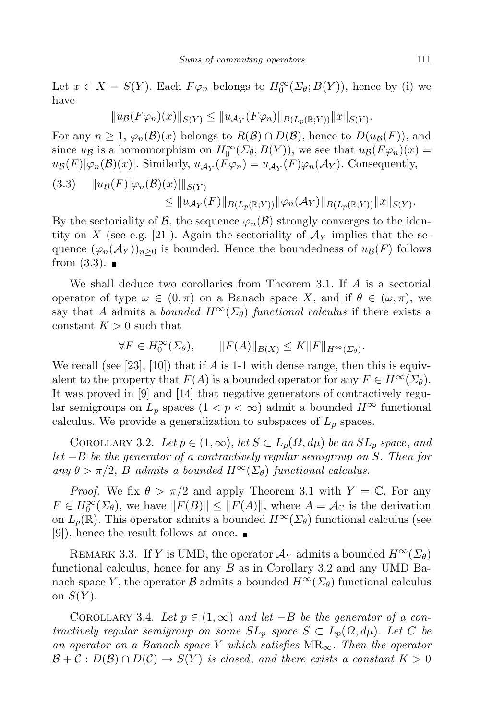Let  $x \in X = S(Y)$ . Each  $F\varphi_n$  belongs to  $H_0^{\infty}(\Sigma_{\theta}; B(Y))$ , hence by (i) we have

$$
||u_{\mathcal{B}}(F\varphi_n)(x)||_{S(Y)} \leq ||u_{\mathcal{A}_Y}(F\varphi_n)||_{B(L_p(\mathbb{R};Y))}||x||_{S(Y)}.
$$

For any  $n \geq 1$ ,  $\varphi_n(\mathcal{B})(x)$  belongs to  $R(\mathcal{B}) \cap D(\mathcal{B})$ , hence to  $D(u_{\mathcal{B}}(F))$ , and since  $u_B$  is a homomorphism on  $H_0^{\infty}(\Sigma_{\theta}; B(Y))$ , we see that  $u_B(F\varphi_n)(x) =$  $u_{\mathcal{B}}(F)[\varphi_n(\mathcal{B})(x)]$ . Similarly,  $u_{\mathcal{A}_Y}(F\varphi_n) = u_{\mathcal{A}_Y}(F)\varphi_n(\mathcal{A}_Y)$ . Consequently,

(3.3) 
$$
||u_{\mathcal{B}}(F)[\varphi_{n}(\mathcal{B})(x)]||_{S(Y)} \leq ||u_{\mathcal{A}_Y}(F)||_{B(L_p(\mathbb{R};Y))} ||\varphi_{n}(\mathcal{A}_Y)||_{B(L_p(\mathbb{R};Y))} ||x||_{S(Y)}.
$$

By the sectoriality of *B*, the sequence  $\varphi_n(\mathcal{B})$  strongly converges to the identity on X (see e.g. [21]). Again the sectoriality of  $\mathcal{A}_Y$  implies that the sequence  $(\varphi_n(\mathcal{A}_Y))_{n>0}$  is bounded. Hence the boundedness of  $u_{\mathcal{B}}(F)$  follows from  $(3.3)$ .

We shall deduce two corollaries from Theorem 3.1. If *A* is a sectorial operator of type  $\omega \in (0, \pi)$  on a Banach space X, and if  $\theta \in (\omega, \pi)$ , we say that *A* admits a *bounded*  $H^{\infty}(\Sigma_{\theta})$  *functional calculus* if there exists a constant  $K > 0$  such that

$$
\forall F \in H_0^{\infty}(\Sigma_{\theta}), \qquad \|F(A)\|_{B(X)} \le K \|F\|_{H^{\infty}(\Sigma_{\theta})}.
$$

We recall (see [23], [10]) that if *A* is 1-1 with dense range, then this is equivalent to the property that  $F(A)$  is a bounded operator for any  $F \in H^{\infty}(\Sigma_{\theta}).$ It was proved in [9] and [14] that negative generators of contractively regular semigroups on  $L_p$  spaces  $(1 < p < \infty)$  admit a bounded  $H^{\infty}$  functional calculus. We provide a generalization to subspaces of *L<sup>p</sup>* spaces.

COROLLARY 3.2. *Let*  $p \in (1, \infty)$ , *let*  $S \subset L_p(\Omega, d\mu)$  *be an*  $SL_p$  *space*, *and let −B be the generator of a contractively regular semigroup on S. Then for*  $any \theta > \pi/2$ , *B admits a bounded*  $H^{\infty}(\Sigma_{\theta})$  *functional calculus.* 

*Proof.* We fix  $\theta > \pi/2$  and apply Theorem 3.1 with  $Y = \mathbb{C}$ . For any  $F \in H_0^{\infty}(\Sigma_{\theta})$ , we have  $||F(B)|| \le ||F(A)||$ , where  $A = A_{\mathbb{C}}$  is the derivation on  $L_p(\mathbb{R})$ . This operator admits a bounded  $H^{\infty}(\Sigma_{\theta})$  functional calculus (see [9]), hence the result follows at once.  $\blacksquare$ 

REMARK 3.3. If *Y* is UMD, the operator  $\mathcal{A}_Y$  admits a bounded  $H^{\infty}(\Sigma_{\theta})$ functional calculus, hence for any *B* as in Corollary 3.2 and any UMD Banach space *Y*, the operator *B* admits a bounded  $H^{\infty}(\Sigma_{\theta})$  functional calculus on  $S(Y)$ .

COROLLARY 3.4. Let  $p \in (1, \infty)$  and let  $-B$  be the generator of a con*tractively regular semigroup on some*  $SL_p$  *space*  $S \subset L_p(\Omega, d\mu)$ *. Let*  $C$  *be an operator on a Banach space Y which satisfies* MR*∞. Then the operator*  $B + C : D(B) \cap D(C) \rightarrow S(Y)$  *is closed, and there exists a constant*  $K > 0$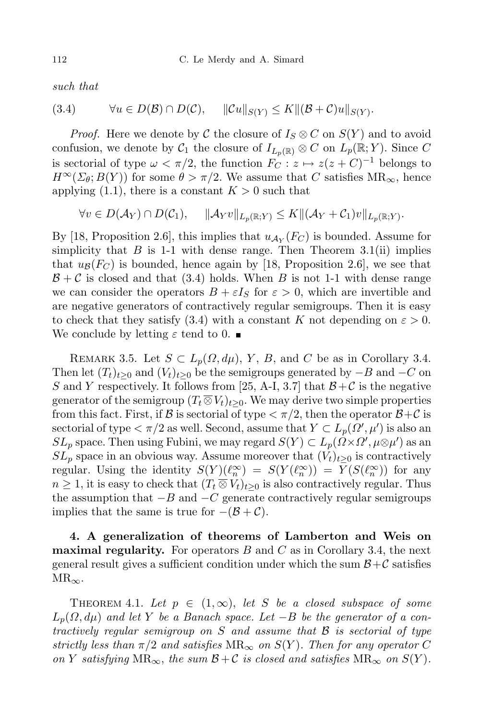*such that*

$$
(3.4) \qquad \forall u \in D(\mathcal{B}) \cap D(\mathcal{C}), \quad \|\mathcal{C}u\|_{S(Y)} \leq K \|(\mathcal{B}+\mathcal{C})u\|_{S(Y)}.
$$

*Proof.* Here we denote by  $C$  the closure of  $I_S \otimes C$  on  $S(Y)$  and to avoid confusion, we denote by  $C_1$  the closure of  $I_{L_p(\mathbb{R})} \otimes C$  on  $L_p(\mathbb{R}; Y)$ . Since C is sectorial of type  $\omega < \pi/2$ , the function  $F_C: z \mapsto z(z+C)^{-1}$  belongs to  $H^{\infty}(\Sigma_{\theta}; B(Y))$  for some  $\theta > \pi/2$ . We assume that *C* satisfies  $MR_{\infty}$ , hence applying  $(1.1)$ , there is a constant  $K > 0$  such that

 $\forall v \in D(\mathcal{A}_Y) \cap D(\mathcal{C}_1), \quad \|\mathcal{A}_Yv\|_{L_p(\mathbb{R};Y)} \leq K \|(\mathcal{A}_Y + \mathcal{C}_1)v\|_{L_p(\mathbb{R};Y)}.$ 

By [18, Proposition 2.6], this implies that  $u_{\mathcal{A}_Y}(F_C)$  is bounded. Assume for simplicity that  $B$  is 1-1 with dense range. Then Theorem 3.1(ii) implies that  $u_{\mathcal{B}}(F_C)$  is bounded, hence again by [18, Proposition 2.6], we see that  $B + C$  is closed and that (3.4) holds. When *B* is not 1-1 with dense range we can consider the operators  $B + \varepsilon I<sub>S</sub>$  for  $\varepsilon > 0$ , which are invertible and are negative generators of contractively regular semigroups. Then it is easy to check that they satisfy (3.4) with a constant *K* not depending on  $\varepsilon > 0$ . We conclude by letting  $\varepsilon$  tend to 0.

REMARK 3.5. Let  $S \subset L_p(\Omega, d\mu)$ , *Y*, *B*, and *C* be as in Corollary 3.4. Then let  $(T_t)_{t>0}$  and  $(V_t)_{t>0}$  be the semigroups generated by  $-B$  and  $-C$  on *S* and *Y* respectively. It follows from [25, A-I, 3.7] that  $B+C$  is the negative generator of the semigroup  $(T_t \overline{\otimes} V_t)_{t>0}$ . We may derive two simple properties from this fact. First, if  $\beta$  is sectorial of type  $\langle \pi/2 \rangle$ , then the operator  $\beta+\mathcal{C}$  is sectorial of type  $\langle \pi/2 \text{ as well. Second, assume that } Y \subset L_p(\Omega', \mu')$  is also an *SL*<sub>*p*</sub> space. Then using Fubini, we may regard  $S(Y) \subset L_p(\Omega \times \Omega', \mu \otimes \mu')$  as an  $SL_p$  space in an obvious way. Assume moreover that  $(V_t)_{t\geq0}$  is contractively regular. Using the identity  $S(Y)(\ell_n^{\infty}) = S(Y(\ell_n^{\infty})) = Y(S(\ell_n^{\infty}))$  for any  $n \geq 1$ , it is easy to check that  $(T_t \overline{\otimes} V_t)_{t>0}$  is also contractively regular. Thus the assumption that *−B* and *−C* generate contractively regular semigroups implies that the same is true for  $-(\mathcal{B} + \mathcal{C})$ .

**4. A generalization of theorems of Lamberton and Weis on maximal regularity.** For operators *B* and *C* as in Corollary 3.4, the next general result gives a sufficient condition under which the sum  $B + C$  satisfies MR*∞*.

THEOREM 4.1. Let  $p \in (1, \infty)$ , let *S* be a closed subspace of some  $L_p(Q, d\mu)$  *and let Y be a Banach space. Let*  $-P$  *be the generator of a contractively regular semigroup on S and assume that B is sectorial of type strictly* less than  $\pi/2$  and satisfies  $MR_{\infty}$  on  $S(Y)$ . Then for any operator C  $\mathcal{O}(n)$  *Y* satisfying  $MR_{\infty}$ , the sum  $\mathcal{B} + \mathcal{C}$  is closed and satisfies  $MR_{\infty}$  on  $S(Y)$ .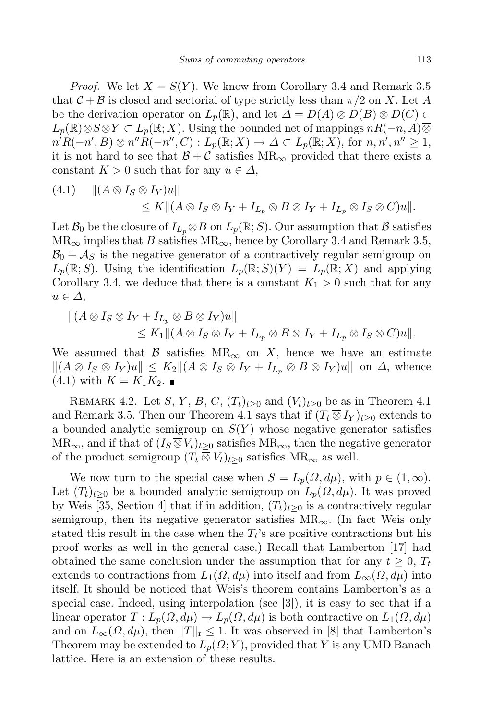*Proof.* We let  $X = S(Y)$ . We know from Corollary 3.4 and Remark 3.5 that  $C + B$  is closed and sectorial of type strictly less than  $\pi/2$  on X. Let A be the derivation operator on  $L_p(\mathbb{R})$ , and let  $\Delta = D(A) \otimes D(B) \otimes D(C)$  $L_p(\mathbb{R}) \otimes S \otimes Y \subset L_p(\mathbb{R}; X)$ . Using the bounded net of mappings  $nR(-n, A)$  $n'R(-n', B) \otimes n''R(-n'', C) : L_p(\mathbb{R}; X) \to \Delta \subset L_p(\mathbb{R}; X)$ , for  $n, n', n'' \ge 1$ , it is not hard to see that  $B + C$  satisfies  $MR_{\infty}$  provided that there exists a constant  $K > 0$  such that for any  $u \in \Delta$ ,

$$
(4.1) \quad || (A \otimes I_S \otimes I_Y)u||
$$
  
\n
$$
\leq K || (A \otimes I_S \otimes I_Y + I_{L_p} \otimes B \otimes I_Y + I_{L_p} \otimes I_S \otimes C)u||.
$$

Let  $\mathcal{B}_0$  be the closure of  $I_{L_p} \otimes B$  on  $L_p(\mathbb{R}; S)$ . Our assumption that  $\mathcal B$  satisfies  $MR_{\infty}$  implies that *B* satisfies  $MR_{\infty}$ , hence by Corollary 3.4 and Remark 3.5,  $B_0 + A_S$  is the negative generator of a contractively regular semigroup on  $L_p(\mathbb{R}; S)$ . Using the identification  $L_p(\mathbb{R}; S)(Y) = L_p(\mathbb{R}; X)$  and applying Corollary 3.4, we deduce that there is a constant  $K_1 > 0$  such that for any *u ∈ ∆*,

$$
||(A \otimes I_S \otimes I_Y + I_{L_p} \otimes B \otimes I_Y)u||
$$
  
\n
$$
\leq K_1 ||(A \otimes I_S \otimes I_Y + I_{L_p} \otimes B \otimes I_Y + I_{L_p} \otimes I_S \otimes C)u||.
$$

We assumed that  $\beta$  satisfies  $MR_{\infty}$  on X, hence we have an estimate  $||(A \otimes I_S \otimes I_Y)u|| \leq K_2||(A \otimes I_S \otimes I_Y + I_{L_n} \otimes B \otimes I_Y)u||$  on  $\Delta$ , whence  $(4.1)$  with  $K = K_1 K_2$ .

REMARK 4.2. Let *S*, *Y*, *B*, *C*,  $(T_t)_{t>0}$  and  $(V_t)_{t>0}$  be as in Theorem 4.1 and Remark 3.5. Then our Theorem 4.1 says that if  $(T_t \otimes I_Y)_{t>0}$  extends to a bounded analytic semigroup on  $S(Y)$  whose negative generator satisfies  $MR_{\infty}$ , and if that of  $(I_S \overline{\otimes} V_t)_{t>0}$  satisfies  $MR_{\infty}$ , then the negative generator of the product semigroup  $(T_t \otimes V_t)_{t>0}$  satisfies  $MR_\infty$  as well.

We now turn to the special case when  $S = L_p(\Omega, d\mu)$ , with  $p \in (1, \infty)$ . Let  $(T_t)_{t>0}$  be a bounded analytic semigroup on  $L_p(\Omega, d\mu)$ . It was proved by Weis [35, Section 4] that if in addition,  $(T_t)_{t>0}$  is a contractively regular semigroup, then its negative generator satisfies MR*∞*. (In fact Weis only stated this result in the case when the  $T_t$ 's are positive contractions but his proof works as well in the general case.) Recall that Lamberton [17] had obtained the same conclusion under the assumption that for any  $t \geq 0$ ,  $T_t$ extends to contractions from  $L_1(\Omega, d\mu)$  into itself and from  $L_\infty(\Omega, d\mu)$  into itself. It should be noticed that Weis's theorem contains Lamberton's as a special case. Indeed, using interpolation (see  $|3|$ ), it is easy to see that if a linear operator  $T: L_p(\Omega, d\mu) \to L_p(\Omega, d\mu)$  is both contractive on  $L_1(\Omega, d\mu)$ and on  $L_{\infty}(\Omega, d\mu)$ , then  $||T||_{r} \leq 1$ . It was observed in [8] that Lamberton's Theorem may be extended to  $L_p(\Omega; Y)$ , provided that Y is any UMD Banach lattice. Here is an extension of these results.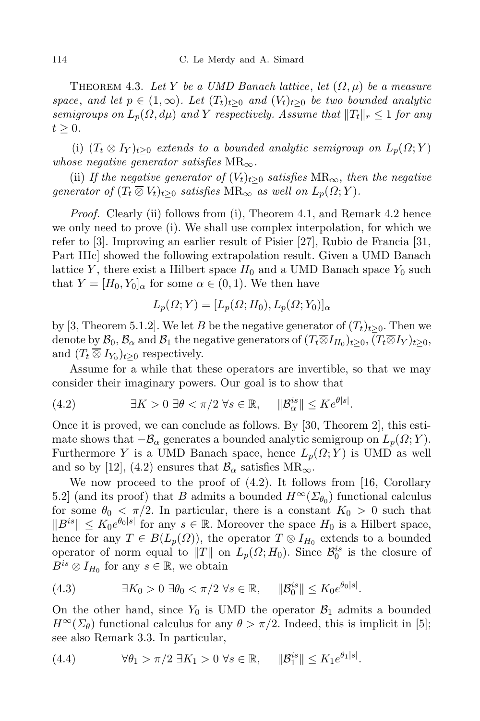THEOREM 4.3. Let Y be a UMD Banach lattice, let  $(\Omega, \mu)$  be a measure space, and let  $p \in (1,\infty)$ . Let  $(T_t)_{t>0}$  and  $(V_t)_{t\geq 0}$  be two bounded analytic *semigroups on*  $L_p(\Omega, d\mu)$  *and Y respectively. Assume that*  $||T_t||_r \leq 1$  *for any*  $t > 0$ .

(i)  $(T_t \overline{\otimes} I_Y)_{t>0}$  *extends to a bounded analytic semigroup on*  $L_p(\Omega; Y)$ *whose negative generator satisfies*  $MR_{\infty}$ *.* 

(ii) *If the negative generator of*  $(V_t)_{t>0}$  *satisfies*  $MR_\infty$ *, then the negative generator of*  $(T_t \overline{\otimes} V_t)_{t>0}$  *satisfies*  $MR_{\infty}$  *as well on*  $L_p(\Omega; Y)$ *.* 

*Proof.* Clearly (ii) follows from (i), Theorem 4.1, and Remark 4.2 hence we only need to prove (i). We shall use complex interpolation, for which we refer to [3]. Improving an earlier result of Pisier [27], Rubio de Francia [31, Part IIIc] showed the following extrapolation result. Given a UMD Banach lattice *Y*, there exist a Hilbert space  $H_0$  and a UMD Banach space  $Y_0$  such that  $Y = [H_0, Y_0]_\alpha$  for some  $\alpha \in (0, 1)$ . We then have

$$
L_p(\Omega;Y) = [L_p(\Omega;H_0), L_p(\Omega;Y_0)]_{\alpha}
$$

by [3, Theorem 5.1.2]. We let *B* be the negative generator of  $(T_t)_{t>0}$ . Then we denote by  $\mathcal{B}_0$ ,  $\mathcal{B}_\alpha$  and  $\mathcal{B}_1$  the negative generators of  $(T_t \overline{\otimes} I_{H_0})_{t \geq 0}$ ,  $(T_t \overline{\otimes} I_Y)_{t \geq 0}$ , and  $(T_t \overline{\otimes} I_{Y_0})_{t \geq 0}$  respectively.

Assume for a while that these operators are invertible, so that we may consider their imaginary powers. Our goal is to show that

(4.2) 
$$
\exists K > 0 \ \exists \theta < \pi/2 \ \forall s \in \mathbb{R}, \quad \|\mathcal{B}_{\alpha}^{is}\| \leq K e^{\theta|s|}.
$$

Once it is proved, we can conclude as follows. By [30, Theorem 2], this estimate shows that  $−\mathcal{B}_\alpha$  generates a bounded analytic semigroup on  $L_p(\Omega; Y)$ . Furthermore *Y* is a UMD Banach space, hence  $L_p(\Omega; Y)$  is UMD as well and so by [12], (4.2) ensures that  $\mathcal{B}_{\alpha}$  satisfies  $MR_{\infty}$ .

We now proceed to the proof of (4.2). It follows from [16, Corollary 5.2] (and its proof) that *B* admits a bounded  $H^{\infty}(\Sigma_{\theta_0})$  functional calculus for some  $\theta_0 < \pi/2$ . In particular, there is a constant  $K_0 > 0$  such that  $||B^{is}|| \leq K_0 e^{\theta_0 |s|}$  for any  $s \in \mathbb{R}$ . Moreover the space  $H_0$  is a Hilbert space, hence for any  $T \in B(L_p(\Omega))$ , the operator  $T \otimes I_{H_0}$  extends to a bounded operator of norm equal to  $||T||$  on  $L_p(\Omega; H_0)$ . Since  $\mathcal{B}_0^{is}$  is the closure of  $B^{is} \otimes I_{H_0}$  for any  $s \in \mathbb{R}$ , we obtain

$$
(4.3) \qquad \exists K_0 > 0 \; \exists \theta_0 < \pi/2 \; \forall s \in \mathbb{R}, \quad \|\mathcal{B}_0^{is}\| \le K_0 e^{\theta_0|s|}.
$$

On the other hand, since  $Y_0$  is UMD the operator  $\mathcal{B}_1$  admits a bounded  $H^{\infty}(\Sigma_{\theta})$  functional calculus for any  $\theta > \pi/2$ . Indeed, this is implicit in [5]; see also Remark 3.3. In particular,

(4.4) 
$$
\forall \theta_1 > \pi/2 \; \exists K_1 > 0 \; \forall s \in \mathbb{R}, \quad \|\mathcal{B}_1^{is}\| \leq K_1 e^{\theta_1|s|}.
$$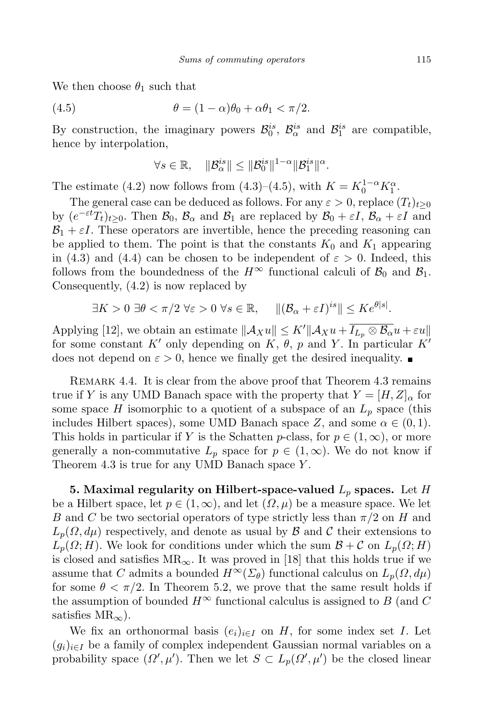We then choose  $\theta_1$  such that

(4.5) 
$$
\theta = (1 - \alpha)\theta_0 + \alpha\theta_1 < \pi/2.
$$

By construction, the imaginary powers  $\mathcal{B}_0^{is}$ ,  $\mathcal{B}_\alpha^{is}$  and  $\mathcal{B}_1^{is}$  are compatible, hence by interpolation,

$$
\forall s \in \mathbb{R}, \quad \|\mathcal{B}_{\alpha}^{is}\| \le \|\mathcal{B}_{0}^{is}\|^{1-\alpha}\|\mathcal{B}_{1}^{is}\|^{\alpha}.
$$

The estimate (4.2) now follows from (4.3)–(4.5), with  $K = K_0^{1-\alpha} K_1^{\alpha}$ .

The general case can be deduced as follows. For any  $\varepsilon > 0$ , replace  $(T_t)_{t>0}$ by  $(e^{-\varepsilon t}T_t)_{t\geq0}$ . Then  $\mathcal{B}_0$ ,  $\mathcal{B}_{\alpha}$  and  $\mathcal{B}_1$  are replaced by  $\mathcal{B}_0 + \varepsilon I$ ,  $\mathcal{B}_{\alpha} + \varepsilon I$  and  $B_1 + \varepsilon I$ . These operators are invertible, hence the preceding reasoning can be applied to them. The point is that the constants  $K_0$  and  $K_1$  appearing in (4.3) and (4.4) can be chosen to be independent of  $\varepsilon > 0$ . Indeed, this follows from the boundedness of the  $H^{\infty}$  functional calculi of  $\mathcal{B}_0$  and  $\mathcal{B}_1$ . Consequently, (4.2) is now replaced by

$$
\exists K > 0 \; \exists \theta < \pi/2 \; \forall \varepsilon > 0 \; \forall s \in \mathbb{R}, \quad \|(\mathcal{B}_{\alpha} + \varepsilon I)^{is}\| \leq K e^{\theta|s|}.
$$

Applying [12], we obtain an estimate  $||A_Xu|| \le K'||A_Xu + \overline{I_{L_p} \otimes B_\alpha}u + \varepsilon u||$ for some constant  $K'$  only depending on  $K$ ,  $\theta$ ,  $p$  and  $Y$ . In particular  $K'$ does not depend on  $\varepsilon > 0$ , hence we finally get the desired inequality.

REMARK 4.4. It is clear from the above proof that Theorem 4.3 remains true if *Y* is any UMD Banach space with the property that  $Y = [H, Z]_{\alpha}$  for some space *H* isomorphic to a quotient of a subspace of an  $L_p$  space (this includes Hilbert spaces), some UMD Banach space  $Z$ , and some  $\alpha \in (0,1)$ . This holds in particular if *Y* is the Schatten *p*-class, for  $p \in (1, \infty)$ , or more generally a non-commutative  $L_p$  space for  $p \in (1, \infty)$ . We do not know if Theorem 4.3 is true for any UMD Banach space *Y* .

**5. Maximal regularity on Hilbert-space-valued** *L<sup>p</sup>* **spaces.** Let *H* be a Hilbert space, let  $p \in (1, \infty)$ , and let  $(\Omega, \mu)$  be a measure space. We let *B* and *C* be two sectorial operators of type strictly less than *π/*2 on *H* and  $L_p(\Omega, d\mu)$  respectively, and denote as usual by *B* and *C* their extensions to  $L_p(\Omega; H)$ . We look for conditions under which the sum  $B + C$  on  $L_p(\Omega; H)$ is closed and satisfies  $MR_{\infty}$ . It was proved in [18] that this holds true if we assume that *C* admits a bounded  $H^{\infty}(\Sigma_{\theta})$  functional calculus on  $L_p(\Omega, d\mu)$ for some  $\theta < \pi/2$ . In Theorem 5.2, we prove that the same result holds if the assumption of bounded  $H^{\infty}$  functional calculus is assigned to *B* (and *C*) satisfies MR*∞*).

We fix an orthonormal basis  $(e_i)_{i \in I}$  on *H*, for some index set *I*. Let  $(g_i)_{i \in I}$  be a family of complex independent Gaussian normal variables on a probability space  $(\Omega', \mu')$ . Then we let  $S \subset L_p(\Omega', \mu')$  be the closed linear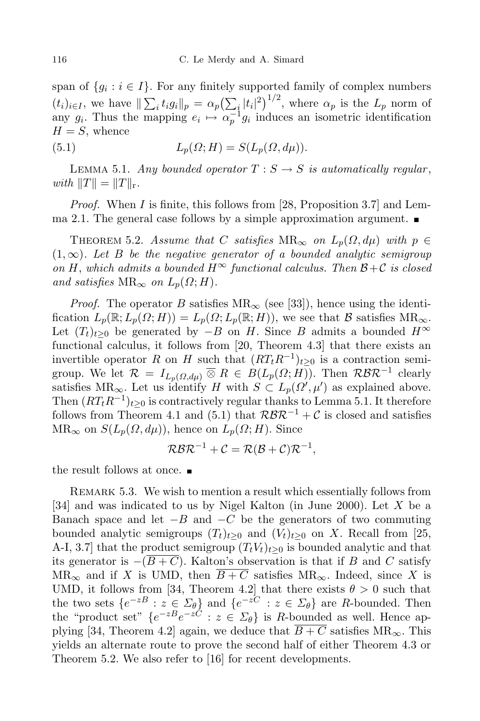span of  $\{g_i : i \in I\}$ . For any finitely supported family of complex numbers  $(t_i)_{i\in I}$ , we have  $\|\sum_i t_i g_i\|_p = \alpha_p \left(\sum_i |t_i|^2\right)^{1/2}$ , where  $\alpha_p$  is the  $L_p$  norm of any  $g_i$ . Thus the mapping  $e_i \mapsto \alpha_p^{-1} g_i$  induces an isometric identification  $H = S$ , whence

(5.1) 
$$
L_p(\Omega; H) = S(L_p(\Omega, d\mu)).
$$

LEMMA 5.1. *Any* bounded operator  $T : S \rightarrow S$  is automatically regular,  $with$   $||T|| = ||T||$ <sub>r</sub>.

*Proof.* When *I* is finite, this follows from [28, Proposition 3.7] and Lemma 2.1. The general case follows by a simple approximation argument.

THEOREM 5.2. *Assume that C satisfies*  $MR_{\infty}$  *on*  $L_p(\Omega, d\mu)$  *with*  $p \in$ (1*,∞*)*. Let B be the negative generator of a bounded analytic semigroup*  $\mathcal{O}(nH)$ , which admits a bounded  $H^{\infty}$  functional calculus. Then  $\mathcal{B}+\mathcal{C}$  is closed *and satisfies*  $MR_{\infty}$  *on*  $L_p(\Omega; H)$ *.* 

*Proof.* The operator *B* satisfies  $MR_\infty$  (see [33]), hence using the identification  $L_p(\mathbb{R}; L_p(\Omega; H)) = L_p(\Omega; L_p(\mathbb{R}; H))$ , we see that *B* satisfies  $MR_\infty$ . Let  $(T_t)_{t>0}$  be generated by *−B* on *H*. Since *B* admits a bounded  $H^∞$ functional calculus, it follows from [20, Theorem 4.3] that there exists an invertible operator *R* on *H* such that  $(RT_tR^{-1})_{t\geq 0}$  is a contraction semigroup. We let  $\mathcal{R} = I_{L_p(\Omega,d\mu)} \overline{\otimes} R \in B(L_p(\Omega;H))$ . Then  $\mathcal{R} \mathcal{B} \mathcal{R}^{-1}$  clearly satisfies  $MR_{\infty}$ . Let us identify *H* with  $S \subset L_p(\Omega', \mu')$  as explained above. Then  $(RT_tR^{-1})_{t\geq0}$  is contractively regular thanks to Lemma 5.1. It therefore follows from Theorem 4.1 and (5.1) that  $\mathcal{R} \mathcal{B} \mathcal{R}^{-1} + \mathcal{C}$  is closed and satisfies  $MR_{\infty}$  on  $S(L_p(\Omega, d\mu))$ , hence on  $L_p(\Omega; H)$ . Since

$$
\mathcal{R} \mathcal{B} \mathcal{R}^{-1} + \mathcal{C} = \mathcal{R} (\mathcal{B} + \mathcal{C}) \mathcal{R}^{-1},
$$

the result follows at once.

REMARK 5.3. We wish to mention a result which essentially follows from [34] and was indicated to us by Nigel Kalton (in June 2000). Let *X* be a Banach space and let *−B* and *−C* be the generators of two commuting bounded analytic semigroups  $(T_t)_{t>0}$  and  $(V_t)_{t>0}$  on X. Recall from [25, A-I, 3.7] that the product semigroup  $(T_t V_t)_{t>0}$  is bounded analytic and that its generator is  $-(B+C)$ . Kalton's observation is that if *B* and *C* satisfy  $MR_{\infty}$  and if *X* is UMD, then  $\overline{B+C}$  satisfies  $MR_{\infty}$ . Indeed, since *X* is UMD, it follows from [34, Theorem 4.2] that there exists  $\theta > 0$  such that the two sets  $\{e^{-zB}: z \in \Sigma_{\theta}\}$  and  $\{e^{-zC}: z \in \Sigma_{\theta}\}$  are *R*-bounded. Then the "product set"  $\{e^{-zB}e^{-zC}: z \in \Sigma_{\theta}\}\)$  is *R*-bounded as well. Hence applying [34, Theorem 4.2] again, we deduce that  $\overline{B+C}$  satisfies  $MR_{\infty}$ . This yields an alternate route to prove the second half of either Theorem 4.3 or Theorem 5.2. We also refer to [16] for recent developments.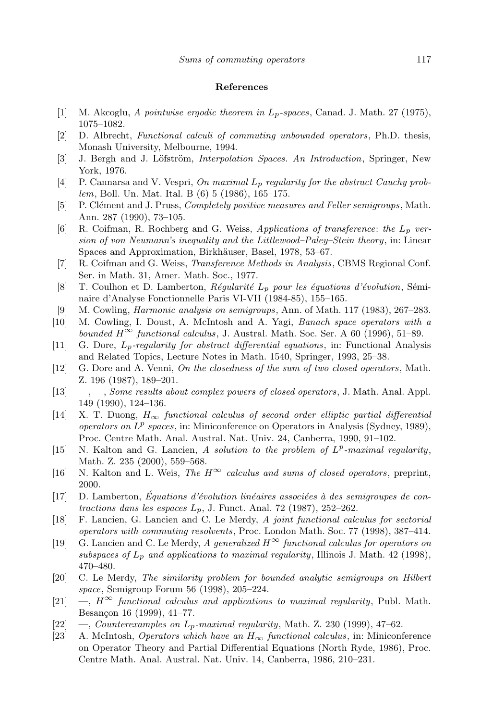## **References**

- [1] M. Akcoglu, *A pointwise ergodic theorem in Lp-spaces*, Canad. J. Math. 27 (1975), 1075–1082.
- [2] D. Albrecht, *Functional calculi of commuting unbounded operators*, Ph.D. thesis, Monash University, Melbourne, 1994.
- [3] J. Bergh and J. Löfström, *Interpolation Spaces. An Introduction*, Springer, New York, 1976.
- [4] P. Cannarsa and V. Vespri, *On maximal Lp regularity for the abstract Cauchy problem*, Boll. Un. Mat. Ital. B (6) 5 (1986), 165–175.
- [5] P. Cl´ement and J. Pruss, *Completely positive measures and Feller semigroups*, Math. Ann. 287 (1990), 73–105.
- [6] R. Coifman, R. Rochberg and G. Weiss, *Applications of transference*: *the Lp version of von Neumann's inequality and the Littlewood–Paley–Stein theory*, in: Linear Spaces and Approximation, Birkhäuser, Basel, 1978, 53–67.
- [7] R. Coifman and G. Weiss, *Transference Methods in Analysis*, CBMS Regional Conf. Ser. in Math. 31, Amer. Math. Soc., 1977.
- [8] T. Coulhon et D. Lamberton, *Régularité*  $L_p$  *pour les équations d'évolution*, Séminaire d'Analyse Fonctionnelle Paris VI-VII (1984-85), 155–165.
- [9] M. Cowling, *Harmonic analysis on semigroups*, Ann. of Math. 117 (1983), 267–283.
- [10] M. Cowling, I. Doust, A. McIntosh and A. Yagi, *Banach space operators with a bounded*  $H^\infty$  *functional calculus*, J. Austral. Math. Soc. Ser. A 60 (1996), 51–89.
- [11] G. Dore, *Lp-regularity for abstract differential equations*, in: Functional Analysis and Related Topics, Lecture Notes in Math. 1540, Springer, 1993, 25–38.
- [12] G. Dore and A. Venni, *On the closedness of the sum of two closed operators*, Math. Z. 196 (1987), 189–201.
- [13] —, —, *Some results about complex powers of closed operators*, J. Math. Anal. Appl. 149 (1990), 124–136.
- [14] X. T. Duong, *H<sup>∞</sup> functional calculus of second order elliptic partial differential operators on L p spaces*, in: Miniconference on Operators in Analysis (Sydney, 1989), Proc. Centre Math. Anal. Austral. Nat. Univ. 24, Canberra, 1990, 91–102.
- [15] N. Kalton and G. Lancien, *A solution to the problem of*  $L^p$ -maximal regularity, Math. Z. 235 (2000), 559–568.
- [16] N. Kalton and L. Weis, *The*  $H^{\infty}$  *calculus* and *sums* of *closed operators*, preprint, 2000.
- $[17]$  D. Lamberton, *Equations d'évolution linéaires* associées à *des* semigroupes *de contractions dans les espaces Lp*, J. Funct. Anal. 72 (1987), 252–262.
- [18] F. Lancien, G. Lancien and C. Le Merdy, *A joint functional calculus for sectorial operators with commuting resolvents*, Proc. London Math. Soc. 77 (1998), 387–414.
- [19] G. Lancien and C. Le Merdy, *A generalized*  $H^{\infty}$  *functional calculus for operators on subspaces of Lp and applications to maximal regularity*, Illinois J. Math. 42 (1998), 470–480.
- [20] C. Le Merdy, *The similarity problem for bounded analytic semigroups on Hilbert space*, Semigroup Forum 56 (1998), 205–224.
- $[21] \quad -$ ,  $H^{\infty}$  *functional calculus and applications to maximal regularity*, Publ. Math. Besançon 16 (1999), 41–77.
- [22] —, *Counterexamples on Lp-maximal regularity*, Math. Z. 230 (1999), 47–62.
- [23] A. McIntosh, *Operators which have an H<sup>∞</sup> functional calculus*, in: Miniconference on Operator Theory and Partial Differential Equations (North Ryde, 1986), Proc. Centre Math. Anal. Austral. Nat. Univ. 14, Canberra, 1986, 210–231.